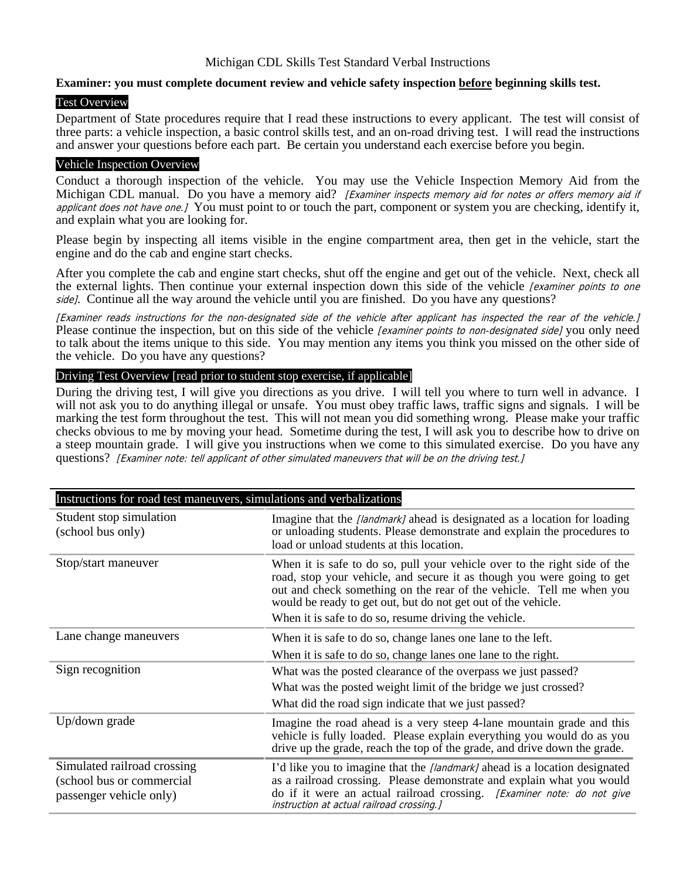## **Examiner: you must complete document review and vehicle safety inspection before beginning skills test.**

#### Test Overview

Department of State procedures require that I read these instructions to every applicant. The test will consist of three parts: a vehicle inspection, a basic control skills test, and an on-road driving test. I will read the instructions and answer your questions before each part. Be certain you understand each exercise before you begin.

## Vehicle Inspection Overview

Conduct a thorough inspection of the vehicle. You may use the Vehicle Inspection Memory Aid from the Michigan CDL manual. Do you have a memory aid? [Examiner inspects memory aid for notes or offers memory aid if applicant does not have one.] You must point to or touch the part, component or system you are checking, identify it, and explain what you are looking for.

Please begin by inspecting all items visible in the engine compartment area, then get in the vehicle, start the engine and do the cab and engine start checks.

After you complete the cab and engine start checks, shut off the engine and get out of the vehicle. Next, check all the external lights. Then continue your external inspection down this side of the vehicle *[examiner points to one* side]. Continue all the way around the vehicle until you are finished. Do you have any questions?

[Examiner reads instructions for the non-designated side of the vehicle after applicant has inspected the rear of the vehicle.]<br>Please continue the inspection, but on this side of the vehicle [examiner points to non-design to talk about the items unique to this side. You may mention any items you think you missed on the other side of the vehicle. Do you have any questions?

## Driving Test Overview [read prior to student stop exercise, if applicable]

During the driving test, I will give you directions as you drive. I will tell you where to turn well in advance. I will not ask you to do anything illegal or unsafe. You must obey traffic laws, traffic signs and signals. I will be marking the test form throughout the test. This will not mean you did something wrong. Please make your traffic checks obvious to me by moving your head. Sometime during the test, I will ask you to describe how to drive on a steep mountain grade. I will give you instructions when we come to this simulated exercise. Do you have any questions? [Examiner note: tell applicant of other simulated maneuvers that will be on the driving test.]

| Instructions for road test maneuvers, simulations and verbalizations                |                                                                                                                                                                                                                                                                                              |
|-------------------------------------------------------------------------------------|----------------------------------------------------------------------------------------------------------------------------------------------------------------------------------------------------------------------------------------------------------------------------------------------|
| Student stop simulation<br>(school bus only)                                        | Imagine that the [landmark] ahead is designated as a location for loading<br>or unloading students. Please demonstrate and explain the procedures to<br>load or unload students at this location.                                                                                            |
| Stop/start maneuver                                                                 | When it is safe to do so, pull your vehicle over to the right side of the<br>road, stop your vehicle, and secure it as though you were going to get<br>out and check something on the rear of the vehicle. Tell me when you<br>would be ready to get out, but do not get out of the vehicle. |
|                                                                                     | When it is safe to do so, resume driving the vehicle.                                                                                                                                                                                                                                        |
| Lane change maneuvers                                                               | When it is safe to do so, change lanes one lane to the left.                                                                                                                                                                                                                                 |
|                                                                                     | When it is safe to do so, change lanes one lane to the right.                                                                                                                                                                                                                                |
| Sign recognition                                                                    | What was the posted clearance of the overpass we just passed?                                                                                                                                                                                                                                |
|                                                                                     | What was the posted weight limit of the bridge we just crossed?                                                                                                                                                                                                                              |
|                                                                                     | What did the road sign indicate that we just passed?                                                                                                                                                                                                                                         |
| Up/down grade                                                                       | Imagine the road ahead is a very steep 4-lane mountain grade and this<br>vehicle is fully loaded. Please explain everything you would do as you<br>drive up the grade, reach the top of the grade, and drive down the grade.                                                                 |
| Simulated railroad crossing<br>(school bus or commercial<br>passenger vehicle only) | I'd like you to imagine that the [landmark] ahead is a location designated<br>as a railroad crossing. Please demonstrate and explain what you would<br>do if it were an actual railroad crossing. [Examiner note: do not give<br>instruction at actual railroad crossing.]                   |